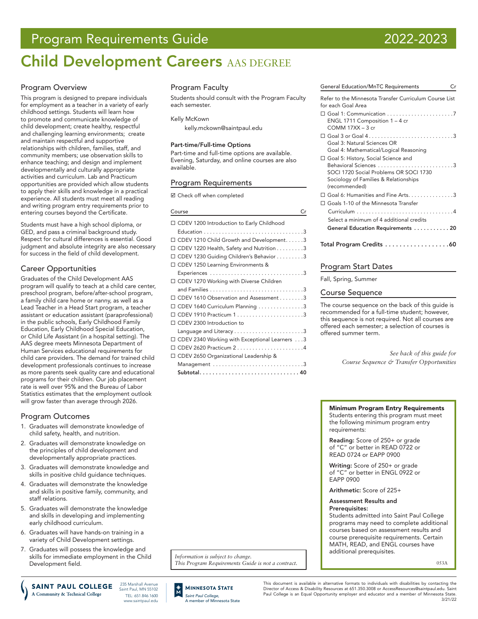# Program Requirements Guide 2022-2023

# Child Development Careers AAS DEGREE

# Program Overview

This program is designed to prepare individuals for employment as a teacher in a variety of early childhood settings. Students will learn how to promote and communicate knowledge of child development; create healthy, respectful and challenging learning environments; create and maintain respectful and supportive relationships with children, families, staff, and community members; use observation skills to enhance teaching; and design and implement developmentally and culturally appropriate activities and curriculum. Lab and Practicum opportunities are provided which allow students to apply their skills and knowledge in a practical experience. All students must meet all reading and writing program entry requirements prior to entering courses beyond the Certificate.

Students must have a high school diploma, or GED, and pass a criminal background study. Respect for cultural differences is essential. Good judgment and absolute integrity are also necessary for success in the field of child development.

# Career Opportunities

Graduates of the Child Development AAS program will qualify to teach at a child care center, preschool program, before/after-school program, a family child care home or nanny, as well as a Lead Teacher in a Head Start program, a teacher assistant or education assistant (paraprofessional) in the public schools, Early Childhood Family Education, Early Childhood Special Education, or Child Life Assistant (in a hospital setting). The AAS degree meets Minnesota Department of Human Services educational requirements for child care providers. The demand for trained child development professionals continues to increase as more parents seek quality care and educational programs for their children. Our job placement rate is well over 95% and the Bureau of Labor Statistics estimates that the employment outlook will grow faster than average through 2026.

# Program Outcomes

- 1. Graduates will demonstrate knowledge of child safety, health, and nutrition.
- 2. Graduates will demonstrate knowledge on the principles of child development and developmentally appropriate practices.
- 3. Graduates will demonstrate knowledge and skills in positive child guidance techniques.
- 4. Graduates will demonstrate the knowledge and skills in positive family, community, and staff relations.
- 5. Graduates will demonstrate the knowledge and skills in developing and implementing early childhood curriculum.
- 6. Graduates will have hands-on training in a variety of Child Development settings.
- 7. Graduates will possess the knowledge and skills for immediate employment in the Child Development field.

235 Marshall Avenue SAINT PAUL COLLEGE Saint Paul, MN 55102 A Community & Technical College TEL: 651.846.1600

www.saintpaul.edu

Program Faculty

Students should consult with the Program Faculty each semester.

Kelly McKown

[kelly.mckown@saintpaul.edu](mailto:kelly.mckown%40saintpaul.edu?subject=)

# Part-time/Full-time Options

Part-time and full-time options are available. Evening, Saturday, and online courses are also available.

# Program Requirements

■ Check off when completed

### Course Cr

| □ CDEV 1200 Introduction to Early Childhood   |
|-----------------------------------------------|
|                                               |
| CDEV 1210 Child Growth and Development3       |
| CDEV 1220 Health, Safety and Nutrition 3      |
| CDEV 1230 Guiding Children's Behavior 3       |
| □ CDEV 1250 Learning Environments &           |
|                                               |
| □ CDEV 1270 Working with Diverse Children     |
|                                               |
| CDEV 1610 Observation and Assessment 3        |
| CDEV 1640 Curriculum Planning 3               |
|                                               |
| CDEV 2300 Introduction to                     |
|                                               |
| CDEV 2340 Working with Exceptional Learners 3 |
| CDEV 2620 Practicum 24                        |
| CDEV 2650 Organizational Leadership &         |
|                                               |
| Subtotal 40                                   |

General Education/MnTC Requirements Cr Refer to the Minnesota Transfer Curriculum Course List for each Goal Area Goal 1: Communication. . 7 ENGL 1711 Composition 1 – 4 cr COMM 17XX – 3 cr Goal 3 or Goal 4. . 3 Goal 3: Natural Sciences OR Goal 4: Mathematical/Logical Reasoning Goal 5: History, Social Science and Behavioral Sciences. . 3 SOCI 1720 Social Problems OR SOCI 1730 Sociology of Families & Relationships (recommended)  $\Box$  Goal 6: Humanities and Fine Arts.  $\dots\dots\dots\dots$ 3 Goals 1-10 of the Minnesota Transfer Curriculum . 4 Select a minimum of 4 additional credits General Education Requirements . . . . . . . . . . . 20 Total Program Credits . . . . . . . . . . . . . . . . . 60

# Program Start Dates

Fall, Spring, Summer

# Course Sequence

The course sequence on the back of this guide is recommended for a full-time student; however, this sequence is not required. Not all courses are offered each semester; a selection of courses is offered summer term.

> *See back of this guide for Course Sequence & Transfer Opportunities*

#### Minimum Program Entry Requirements Students entering this program must meet the following minimum program entry requirements:

Reading: Score of 250+ or grade of "C" or better in READ 0722 or READ 0724 or EAPP 0900

Writing: Score of 250+ or grade of "C" or better in ENGL 0922 or EAPP 0900

Arithmetic: Score of 225+

#### Assessment Results and Prerequisites:

Students admitted into Saint Paul College programs may need to complete additional courses based on assessment results and course prerequisite requirements. Certain MATH, READ, and ENGL courses have additional prerequisites.

053A

*Information is subject to change. This Program Requirements Guide is not a contract.*



This document is available in alternative formats to individuals with disabilities by contacting the Director of Access & Disability Resources at 651.350.3008 or AccessResources@saintpaul.edu. Saint Paul College is an Equal Opportunity employer and educator and a member of Minnesota State. 3/21/22